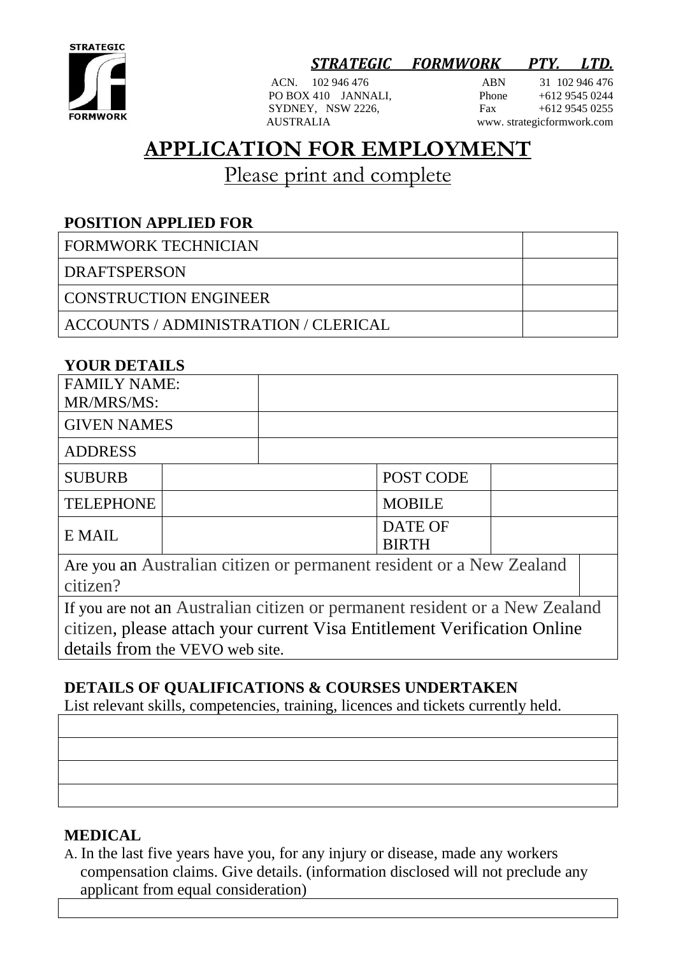

## *STRATEGIC FORMWORK PTY. LTD.*

SYDNEY, NSW 2226, AUSTRALIA

ACN. 102 946 476 <br>
PO BOX 410 JANNALI. Phone +612 9545 0244 PO BOX 410 JANNALI,<br>SYDNEY. NSW 2226. Fax +612 9545 0255 www. strategicformwork.com

# **APPLICATION FOR EMPLOYMENT**

Please print and complete

### **POSITION APPLIED FOR**

| <b>FORMWORK TECHNICIAN</b>           |  |
|--------------------------------------|--|
| <b>DRAFTSPERSON</b>                  |  |
| <b>CONSTRUCTION ENGINEER</b>         |  |
| ACCOUNTS / ADMINISTRATION / CLERICAL |  |

#### **YOUR DETAILS**

| <b>FAMILY NAME:</b><br>MR/MRS/MS:                                   |  |  |                         |  |  |
|---------------------------------------------------------------------|--|--|-------------------------|--|--|
| <b>GIVEN NAMES</b>                                                  |  |  |                         |  |  |
| <b>ADDRESS</b>                                                      |  |  |                         |  |  |
| <b>SUBURB</b>                                                       |  |  | POST CODE               |  |  |
| <b>TELEPHONE</b>                                                    |  |  | <b>MOBILE</b>           |  |  |
| E MAIL                                                              |  |  | DATE OF<br><b>BIRTH</b> |  |  |
| Age ver on Augustine oitizen er nermenent regident er e New Zeeland |  |  |                         |  |  |

Are you an Australian citizen or permanent resident or a New Zealand citizen?

If you are not an Australian citizen or permanent resident or a New Zealand citizen, please attach your current Visa Entitlement Verification Online details from the VEVO web site.

## **DETAILS OF QUALIFICATIONS & COURSES UNDERTAKEN**

List relevant skills, competencies, training, licences and tickets currently held.

#### **MEDICAL**

A. In the last five years have you, for any injury or disease, made any workers compensation claims. Give details. (information disclosed will not preclude any applicant from equal consideration)